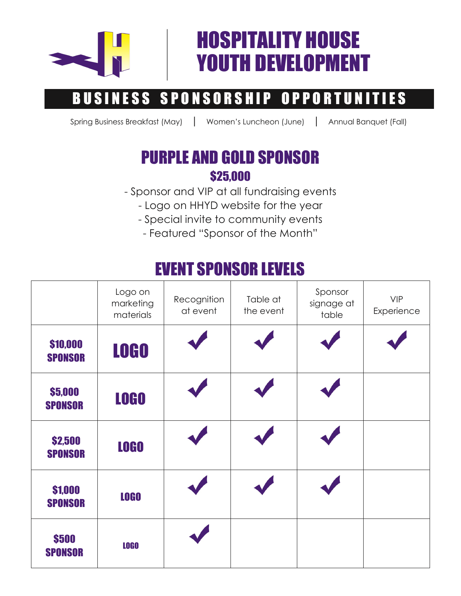

## HOSPITALITY HOUSE YOUTH DEVELOPMENT

## BUSINESS SPONSORSHIP OPPORTUNITIES

Spring Business Breakfast (May) | Women's Luncheon (June) | Annual Banquet (Fall)

## PURPLE AND GOLD SPONSOR \$25,000

- Sponsor and VIP at all fundraising events
	- Logo on HHYD website for the year
	- Special invite to community events
		- Featured "Sponsor of the Month"

## EVENT SPONSOR LEVELS

|                            | Logo on<br>marketing<br>materials | Recognition<br>at event | Table at<br>the event | Sponsor<br>signage at<br>table | <b>VIP</b><br>Experience |
|----------------------------|-----------------------------------|-------------------------|-----------------------|--------------------------------|--------------------------|
| \$10,000<br><b>SPONSOR</b> | <b>LOGO</b>                       |                         |                       |                                |                          |
| \$5,000<br><b>SPONSOR</b>  | <b>LOGO</b>                       |                         |                       |                                |                          |
| \$2,500<br><b>SPONSOR</b>  | <b>LOGO</b>                       |                         |                       |                                |                          |
| \$1,000<br><b>SPONSOR</b>  | <b>LOGO</b>                       |                         |                       |                                |                          |
| \$500<br><b>SPONSOR</b>    | <b>LOGO</b>                       |                         |                       |                                |                          |